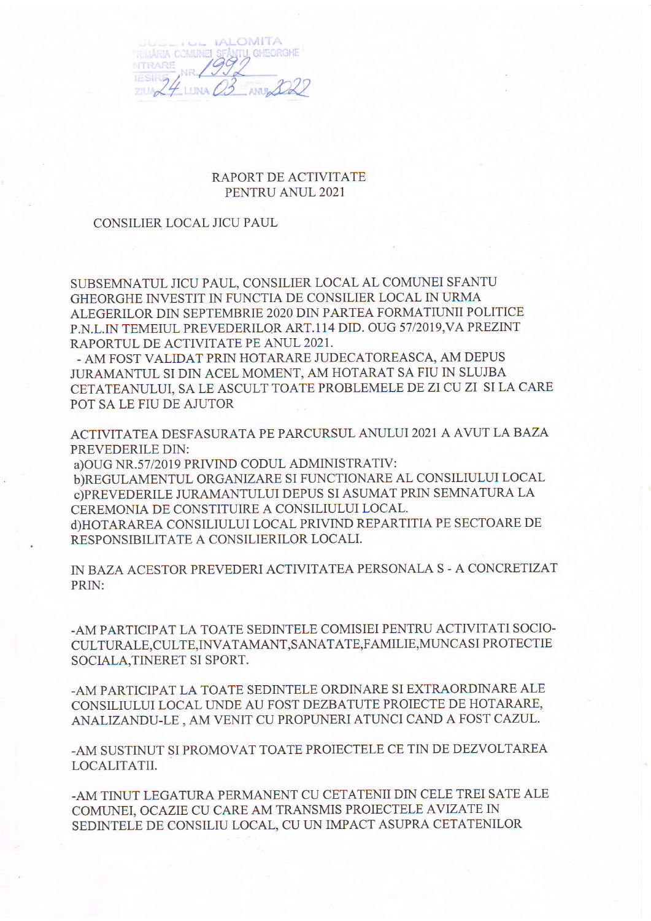**IALOMITA ARIA COMUNEI SE GHEORGHE ITRARE AMIL** 

## RAPORT DE ACTIVITATE PENTRU ANUL 2021

## CONSILIER LOCAL JICU PAUL

SUBSEMNATUL JICU PAUL, CONSILIER LOCAL AL COMUNEI SFANTU GHEORGHE INVESTIT IN FUNCTIA DE CONSILIER LOCAL IN URMA ALEGERILOR DIN SEPTEMBRIE 2020 DIN PARTEA FORMATIUNII POLITICE P.N.L.IN TEMEIUL PREVEDERILOR ART.114 DID. OUG 57/2019, VA PREZINT RAPORTUL DE ACTIVITATE PE ANUL 2021.

- AM FOST VALIDAT PRIN HOTARARE JUDECATOREASCA, AM DEPUS JURAMANTUL SI DIN ACEL MOMENT, AM HOTARAT SA FIU IN SLUJBA CETATEANULUI, SA LE ASCULT TOATE PROBLEMELE DE ZI CU ZI SI LA CARE POT SA LE FIU DE AJUTOR

ACTIVITATEA DESFASURATA PE PARCURSUL ANULUI 2021 A AVUT LA BAZA PREVEDERILE DIN:

a) OUG NR.57/2019 PRIVIND CODUL ADMINISTRATIV: b)REGULAMENTUL ORGANIZARE SI FUNCTIONARE AL CONSILIULUI LOCAL c)PREVEDERILE JURAMANTULUI DEPUS SI ASUMAT PRIN SEMNATURA LA CEREMONIA DE CONSTITUIRE A CONSILIULUI LOCAL. d)HOTARAREA CONSILIULUI LOCAL PRIVIND REPARTITIA PE SECTOARE DE RESPONSIBILITATE A CONSILIERILOR LOCALI.

IN BAZA ACESTOR PREVEDERI ACTIVITATEA PERSONALA S - A CONCRETIZAT PRIN:

-AM PARTICIPAT LA TOATE SEDINTELE COMISIEI PENTRU ACTIVITATI SOCIO-CULTURALE.CULTE.INVATAMANT.SANATATE,FAMILIE,MUNCASI PROTECTIE SOCIALA, TINERET SI SPORT.

-AM PARTICIPAT LA TOATE SEDINTELE ORDINARE SI EXTRAORDINARE ALE CONSILIULUI LOCAL UNDE AU FOST DEZBATUTE PROIECTE DE HOTARARE, ANALIZANDU-LE, AM VENIT CU PROPUNERI ATUNCI CAND A FOST CAZUL.

-AM SUSTINUT SI PROMOVAT TOATE PROIECTELE CE TIN DE DEZVOLTAREA LOCALITATII.

-AM TINUT LEGATURA PERMANENT CU CETATENII DIN CELE TREI SATE ALE COMUNEI, OCAZIE CU CARE AM TRANSMIS PROIECTELE AVIZATE IN SEDINTELE DE CONSILIU LOCAL, CU UN IMPACT ASUPRA CETATENILOR